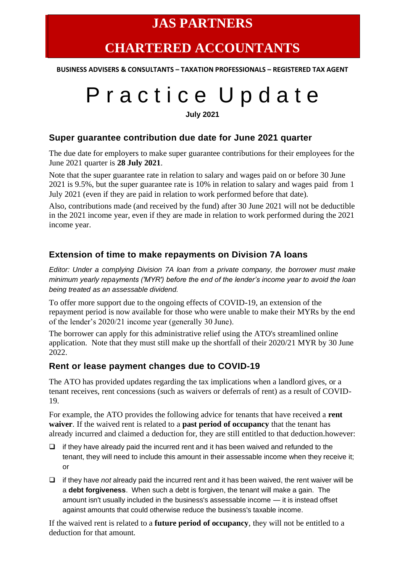# **JAS PARTNERS**

# **CHARTERED ACCOUNTANTS**

**BUSINESS ADVISERS & CONSULTANTS – TAXATION PROFESSIONALS – REGISTERED TAX AGENT**

# Practice Update

**July 2021**

#### **Super guarantee contribution due date for June 2021 quarter**

The due date for employers to make super guarantee contributions for their employees for the June 2021 quarter is **28 July 2021**.

Note that the super guarantee rate in relation to salary and wages paid on or before 30 June 2021 is 9.5%, but the super guarantee rate is 10% in relation to salary and wages paid from 1 July 2021 (even if they are paid in relation to work performed before that date).

Also, contributions made (and received by the fund) after 30 June 2021 will not be deductible in the 2021 income year, even if they are made in relation to work performed during the 2021 income year.

#### **Extension of time to make repayments on Division 7A loans**

*Editor: Under a complying Division 7A loan from a private company, the borrower must make minimum yearly repayments ('MYR') before the end of the lender's income year to avoid the loan being treated as an assessable dividend.*

To offer more support due to the ongoing effects of COVID-19, an extension of the repayment period is now available for those who were unable to make their MYRs by the end of the lender's 2020/21 income year (generally 30 June).

The borrower can apply for this administrative relief using the ATO's streamlined online application. Note that they must still make up the shortfall of their 2020/21 MYR by 30 June 2022.

#### **Rent or lease payment changes due to COVID-19**

The ATO has provided updates regarding the tax implications when a landlord gives, or a tenant receives, rent concessions (such as waivers or deferrals of rent) as a result of COVID-19.

For example, the ATO provides the following advice for tenants that have received a **rent waiver**. If the waived rent is related to a **past period of occupancy** that the tenant has already incurred and claimed a deduction for, they are still entitled to that deduction.however:

- ❑ if they have already paid the incurred rent and it has been waived and refunded to the tenant, they will need to include this amount in their assessable income when they receive it; or
- ❑ if they have *not* already paid the incurred rent and it has been waived, the rent waiver will be a **debt forgiveness**. When such a debt is forgiven, the tenant will make a gain. The amount isn't usually included in the business's assessable income — it is instead offset against amounts that could otherwise reduce the business's taxable income.

If the waived rent is related to a **future period of occupancy**, they will not be entitled to a deduction for that amount.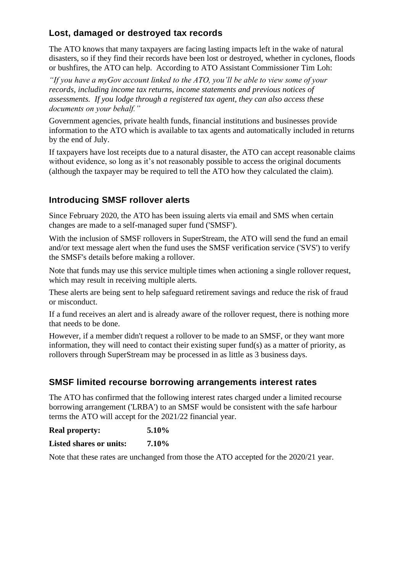# **Lost, damaged or destroyed tax records**

The ATO knows that many taxpayers are facing lasting impacts left in the wake of natural disasters, so if they find their records have been lost or destroyed, whether in cyclones, floods or bushfires, the ATO can help. According to ATO Assistant Commissioner Tim Loh:

*"If you have a myGov account linked to the ATO, you'll be able to view some of your records, including income tax returns, income statements and previous notices of assessments. If you lodge through a registered tax agent, they can also access these documents on your behalf."*

Government agencies, private health funds, financial institutions and businesses provide information to the ATO which is available to tax agents and automatically included in returns by the end of July.

If taxpayers have lost receipts due to a natural disaster, the ATO can accept reasonable claims without evidence, so long as it's not reasonably possible to access the original documents (although the taxpayer may be required to tell the ATO how they calculated the claim).

## **Introducing SMSF rollover alerts**

Since February 2020, the ATO has been issuing alerts via email and SMS when certain changes are made to a self-managed super fund ('SMSF').

With the inclusion of SMSF rollovers in SuperStream, the ATO will send the fund an email and/or text message alert when the fund uses the SMSF verification service ('SVS') to verify the SMSF's details before making a rollover.

Note that funds may use this service multiple times when actioning a single rollover request, which may result in receiving multiple alerts.

These alerts are being sent to help safeguard retirement savings and reduce the risk of fraud or misconduct.

If a fund receives an alert and is already aware of the rollover request, there is nothing more that needs to be done.

However, if a member didn't request a rollover to be made to an SMSF, or they want more information, they will need to contact their existing super fund(s) as a matter of priority, as rollovers through SuperStream may be processed in as little as 3 business days.

## **SMSF limited recourse borrowing arrangements interest rates**

The ATO has confirmed that the following interest rates charged under a limited recourse borrowing arrangement ('LRBA') to an SMSF would be consistent with the safe harbour terms the ATO will accept for the 2021/22 financial year.

#### **Real property: 5.10%**

**Listed shares or units: 7.10%**

Note that these rates are unchanged from those the ATO accepted for the 2020/21 year.